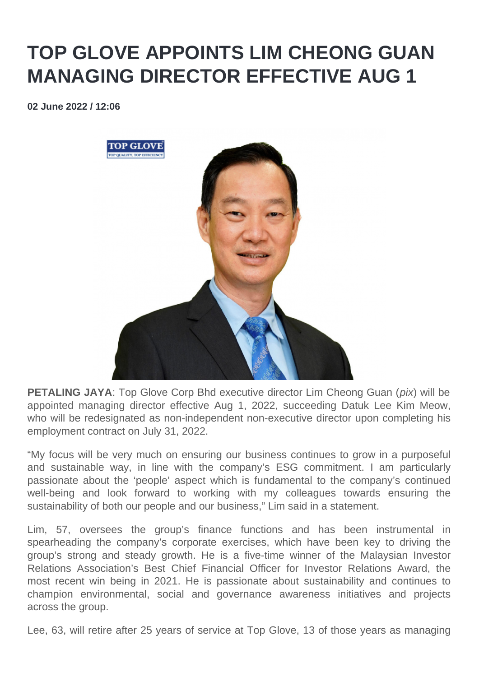## **TOP GLOVE APPOINTS LIM CHEONG GUAN MANAGING DIRECTOR EFFECTIVE AUG 1**

**02 June 2022 / 12:06** 



**PETALING JAYA:** Top Glove Corp Bhd executive director Lim Cheong Guan (*pix*) will be appointed managing director effective Aug 1, 2022, succeeding Datuk Lee Kim Meow, who will be redesignated as non-independent non-executive director upon completing his employment contract on July 31, 2022.

"My focus will be very much on ensuring our business continues to grow in a purposeful and sustainable way, in line with the company's ESG commitment. I am particularly passionate about the 'people' aspect which is fundamental to the company's continued well-being and look forward to working with my colleagues towards ensuring the sustainability of both our people and our business," Lim said in a statement.

Lim, 57, oversees the group's finance functions and has been instrumental in spearheading the company's corporate exercises, which have been key to driving the group's strong and steady growth. He is a five-time winner of the Malaysian Investor Relations Association's Best Chief Financial Officer for Investor Relations Award, the most recent win being in 2021. He is passionate about sustainability and continues to champion environmental, social and governance awareness initiatives and projects across the group.

Lee, 63, will retire after 25 years of service at Top Glove, 13 of those years as managing